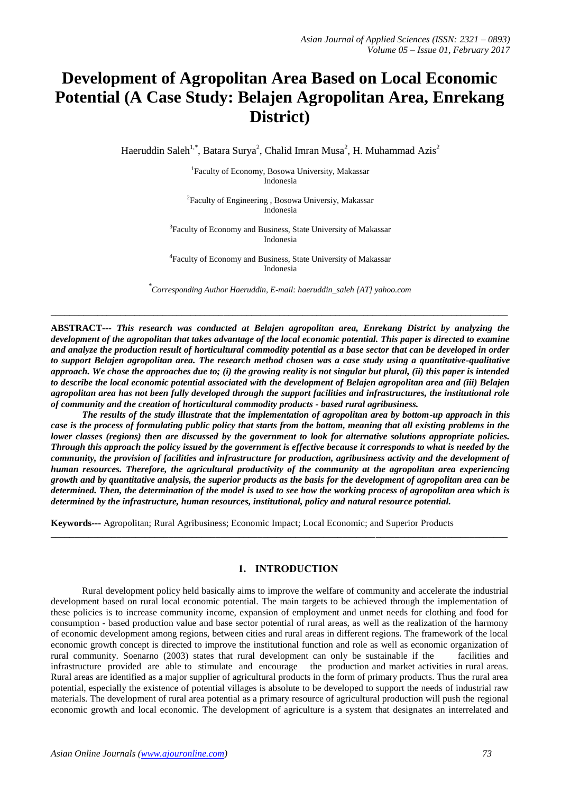# **Development of Agropolitan Area Based on Local Economic Potential (A Case Study: Belajen Agropolitan Area, Enrekang District)**

Haeruddin Saleh<sup>1,\*</sup>, Batara Surya<sup>2</sup>, Chalid Imran Musa<sup>2</sup>, H. Muhammad Azis<sup>2</sup>

<sup>1</sup>Faculty of Economy, Bosowa University, Makassar Indonesia

<sup>2</sup>Faculty of Engineering, Bosowa Universiy, Makassar Indonesia

<sup>3</sup>Faculty of Economy and Business, State University of Makassar Indonesia

4 Faculty of Economy and Business, State University of Makassar Indonesia

*\* Corresponding Author Haeruddin, E-mail: haeruddin\_saleh [AT] yahoo.com*

\_\_\_\_\_\_\_\_\_\_\_\_\_\_\_\_\_\_\_\_\_\_\_\_\_\_\_\_\_\_\_\_\_\_\_\_\_\_\_\_\_\_\_\_\_\_\_\_\_\_\_\_\_\_\_\_\_\_\_\_\_\_\_\_\_\_\_\_\_\_\_\_\_\_\_\_\_\_\_\_\_\_\_\_\_\_\_\_\_\_\_\_\_\_\_\_\_\_

**ABSTRACT---** *This research was conducted at Belajen agropolitan area, Enrekang District by analyzing the development of the agropolitan that takes advantage of the local economic potential. This paper is directed to examine and analyze the production result of horticultural commodity potential as a base sector that can be developed in order*  to support Belajen agropolitan area. The research method chosen was a case study using a quantitative-qualitative *approach. We chose the approaches due to; (i) the growing reality is not singular but plural, (ii) this paper is intended to describe the local economic potential associated with the development of Belajen agropolitan area and (iii) Belajen agropolitan area has not been fully developed through the support facilities and infrastructures, the institutional role of community and the creation of horticultural commodity products - based rural agribusiness.*

*The results of the study illustrate that the implementation of agropolitan area by bottom-up approach in this case is the process of formulating public policy that starts from the bottom, meaning that all existing problems in the lower classes (regions) then are discussed by the government to look for alternative solutions appropriate policies. Through this approach the policy issued by the government is effective because it corresponds to what is needed by the community, the provision of facilities and infrastructure for production, agribusiness activity and the development of human resources. Therefore, the agricultural productivity of the community at the agropolitan area experiencing growth and by quantitative analysis, the superior products as the basis for the development of agropolitan area can be determined. Then, the determination of the model is used to see how the working process of agropolitan area which is determined by the infrastructure, human resources, institutional, policy and natural resource potential.*

**Keywords---** Agropolitan; Rural Agribusiness; Economic Impact; Local Economic; and Superior Products

### **1. INTRODUCTION**

**\_\_\_\_\_\_\_\_\_\_\_\_\_\_\_\_\_\_\_\_\_\_\_\_\_\_\_\_\_\_\_\_\_\_\_\_\_\_\_\_\_\_\_\_\_\_\_\_\_\_\_\_\_\_\_\_\_\_\_\_\_\_\_\_\_\_\_\_\_\_\_\_\_\_\_\_\_\_\_\_\_\_\_\_\_\_\_\_\_\_\_\_\_\_\_\_\_**

Rural development policy held basically aims to improve the welfare of community and accelerate the industrial development based on rural local economic potential. The main targets to be achieved through the implementation of these policies is to increase community income, expansion of employment and unmet needs for clothing and food for consumption - based production value and base sector potential of rural areas, as well as the realization of the harmony of economic development among regions, between cities and rural areas in different regions. The framework of the local economic growth concept is directed to improve the institutional function and role as well as economic organization of rural community. Soenarno (2003) states that rural development can only be sustainable if the facilities and infrastructure provided are able to stimulate and encourage the production and market activities in rural areas. Rural areas are identified as a major supplier of agricultural products in the form of primary products. Thus the rural area potential, especially the existence of potential villages is absolute to be developed to support the needs of industrial raw materials. The development of rural area potential as a primary resource of agricultural production will push the regional economic growth and local economic. The development of agriculture is a system that designates an interrelated and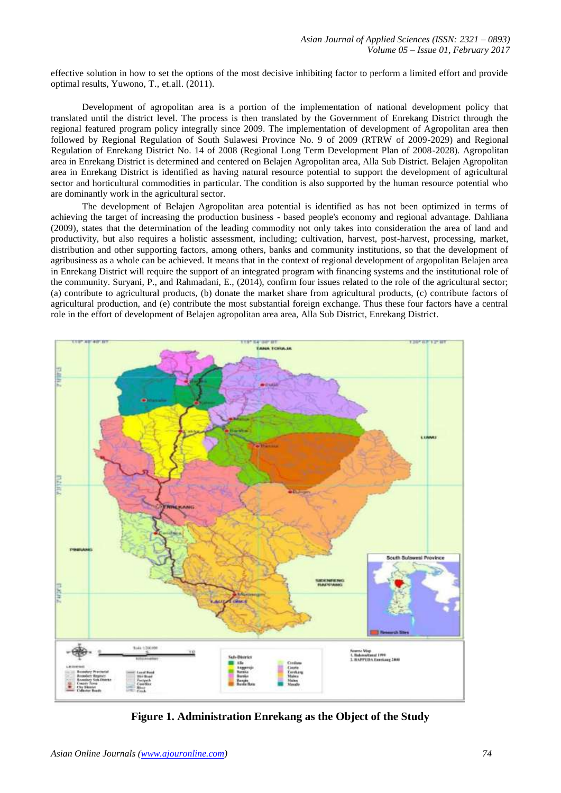effective solution in how to set the options of the most decisive inhibiting factor to perform a limited effort and provide optimal results, Yuwono, T., et.all. (2011).

Development of agropolitan area is a portion of the implementation of national development policy that translated until the district level. The process is then translated by the Government of Enrekang District through the regional featured program policy integrally since 2009. The implementation of development of Agropolitan area then followed by Regional Regulation of South Sulawesi Province No. 9 of 2009 (RTRW of 2009-2029) and Regional Regulation of Enrekang District No. 14 of 2008 (Regional Long Term Development Plan of 2008-2028). Agropolitan area in Enrekang District is determined and centered on Belajen Agropolitan area, Alla Sub District. Belajen Agropolitan area in Enrekang District is identified as having natural resource potential to support the development of agricultural sector and horticultural commodities in particular. The condition is also supported by the human resource potential who are dominantly work in the agricultural sector.

The development of Belajen Agropolitan area potential is identified as has not been optimized in terms of achieving the target of increasing the production business - based people's economy and regional advantage. Dahliana (2009), states that the determination of the leading commodity not only takes into consideration the area of land and productivity, but also requires a holistic assessment, including; cultivation, harvest, post-harvest, processing, market, distribution and other supporting factors, among others, banks and community institutions, so that the development of agribusiness as a whole can be achieved. It means that in the context of regional development of argopolitan Belajen area in Enrekang District will require the support of an integrated program with financing systems and the institutional role of the community. Suryani, P., and Rahmadani, E., (2014), confirm four issues related to the role of the agricultural sector; (a) contribute to agricultural products, (b) donate the market share from agricultural products, (c) contribute factors of agricultural production, and (e) contribute the most substantial foreign exchange. Thus these four factors have a central role in the effort of development of Belajen agropolitan area area, Alla Sub District, Enrekang District.



**Figure 1. Administration Enrekang as the Object of the Study**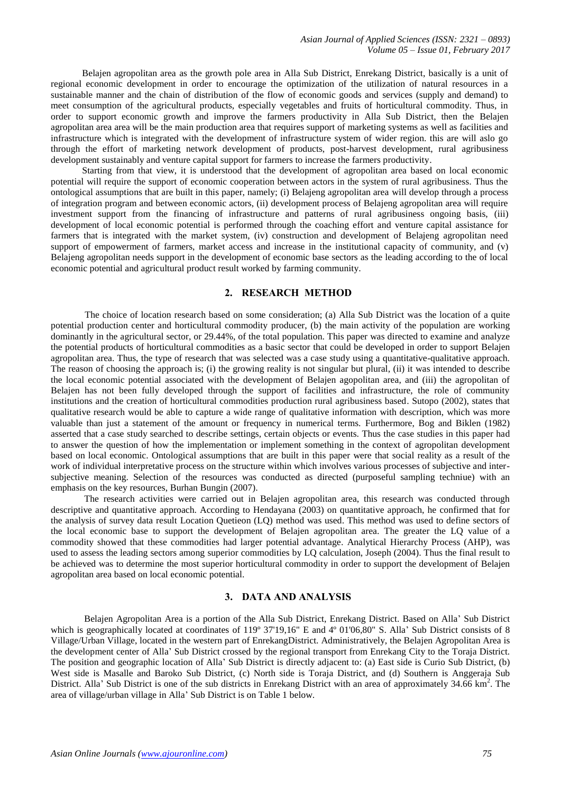Belajen agropolitan area as the growth pole area in Alla Sub District, Enrekang District, basically is a unit of regional economic development in order to encourage the optimization of the utilization of natural resources in a sustainable manner and the chain of distribution of the flow of economic goods and services (supply and demand) to meet consumption of the agricultural products, especially vegetables and fruits of horticultural commodity. Thus, in order to support economic growth and improve the farmers productivity in Alla Sub District, then the Belajen agropolitan area area will be the main production area that requires support of marketing systems as well as facilities and infrastructure which is integrated with the development of infrastructure system of wider region. this are will aslo go through the effort of marketing network development of products, post-harvest development, rural agribusiness development sustainably and venture capital support for farmers to increase the farmers productivity.

Starting from that view, it is understood that the development of agropolitan area based on local economic potential will require the support of economic cooperation between actors in the system of rural agribusiness. Thus the ontological assumptions that are built in this paper, namely; (i) Belajeng agropolitan area will develop through a process of integration program and between economic actors, (ii) development process of Belajeng agropolitan area will require investment support from the financing of infrastructure and patterns of rural agribusiness ongoing basis, (iii) development of local economic potential is performed through the coaching effort and venture capital assistance for farmers that is integrated with the market system, (iv) construction and development of Belajeng agropolitan need support of empowerment of farmers, market access and increase in the institutional capacity of community, and (v) Belajeng agropolitan needs support in the development of economic base sectors as the leading according to the of local economic potential and agricultural product result worked by farming community.

## **2. RESEARCH METHOD**

The choice of location research based on some consideration; (a) Alla Sub District was the location of a quite potential production center and horticultural commodity producer, (b) the main activity of the population are working dominantly in the agricultural sector, or 29.44%, of the total population. This paper was directed to examine and analyze the potential products of horticultural commodities as a basic sector that could be developed in order to support Belajen agropolitan area. Thus, the type of research that was selected was a case study using a quantitative-qualitative approach. The reason of choosing the approach is; (i) the growing reality is not singular but plural, (ii) it was intended to describe the local economic potential associated with the development of Belajen agopolitan area, and (iii) the agropolitan of Belajen has not been fully developed through the support of facilities and infrastructure, the role of community institutions and the creation of horticultural commodities production rural agribusiness based. Sutopo (2002), states that qualitative research would be able to capture a wide range of qualitative information with description, which was more valuable than just a statement of the amount or frequency in numerical terms. Furthermore, Bog and Biklen (1982) asserted that a case study searched to describe settings, certain objects or events. Thus the case studies in this paper had to answer the question of how the implementation or implement something in the context of agropolitan development based on local economic. Ontological assumptions that are built in this paper were that social reality as a result of the work of individual interpretative process on the structure within which involves various processes of subjective and intersubjective meaning. Selection of the resources was conducted as directed (purposeful sampling techniue) with an emphasis on the key resources, Burhan Bungin (2007).

The research activities were carried out in Belajen agropolitan area, this research was conducted through descriptive and quantitative approach. According to Hendayana (2003) on quantitative approach, he confirmed that for the analysis of survey data result Location Quetieon (LQ) method was used. This method was used to define sectors of the local economic base to support the development of Belajen agropolitan area. The greater the LQ value of a commodity showed that these commodities had larger potential advantage. Analytical Hierarchy Process (AHP), was used to assess the leading sectors among superior commodities by LQ calculation, Joseph (2004). Thus the final result to be achieved was to determine the most superior horticultural commodity in order to support the development of Belajen agropolitan area based on local economic potential.

## **3. DATA AND ANALYSIS**

Belajen Agropolitan Area is a portion of the Alla Sub District, Enrekang District. Based on Alla' Sub District which is geographically located at coordinates of 119° 37'19,16" E and 4° 01'06,80" S. Alla' Sub District consists of 8 Village/Urban Village, located in the western part of EnrekangDistrict. Administratively, the Belajen Agropolitan Area is the development center of Alla' Sub District crossed by the regional transport from Enrekang City to the Toraja District. The position and geographic location of Alla' Sub District is directly adjacent to: (a) East side is Curio Sub District, (b) West side is Masalle and Baroko Sub District, (c) North side is Toraja District, and (d) Southern is Anggeraja Sub District. Alla' Sub District is one of the sub districts in Enrekang District with an area of approximately 34.66 km<sup>2</sup>. The area of village/urban village in Alla' Sub District is on Table 1 below.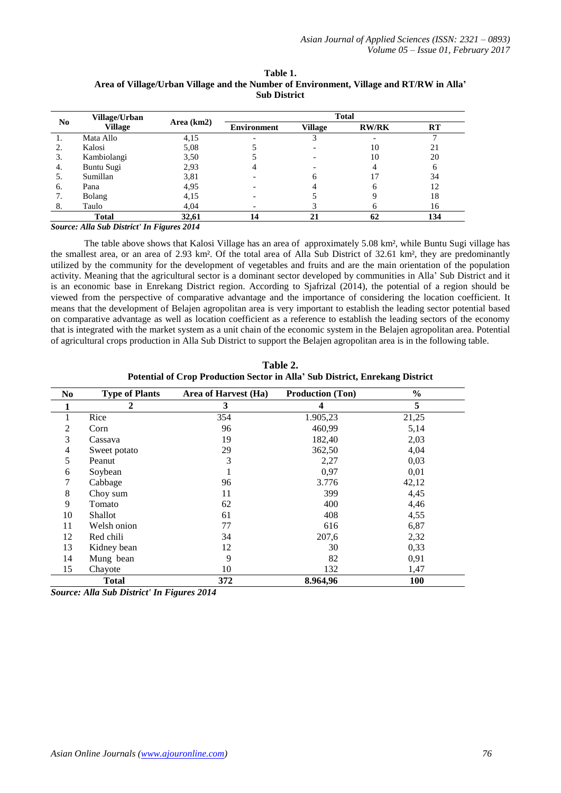|                | Village/Urban  |            | <b>Total</b>       |                |              |     |
|----------------|----------------|------------|--------------------|----------------|--------------|-----|
| N <sub>0</sub> | <b>Village</b> | Area (km2) | <b>Environment</b> | <b>Village</b> | <b>RW/RK</b> | RT  |
|                | Mata Allo      | 4,15       |                    |                |              |     |
|                | Kalosi         | 5,08       |                    |                | 10           | 21  |
| 3.             | Kambiolangi    | 3,50       |                    |                | 10           | 20  |
| 4.             | Buntu Sugi     | 2,93       |                    |                |              |     |
| 5.             | Sumillan       | 3,81       |                    |                |              | 34  |
| 6.             | Pana           | 4,95       |                    |                |              | 12  |
|                | <b>Bolang</b>  | 4,15       |                    |                |              | 18  |
| 8.             | Taulo          | 4,04       |                    |                |              | 16  |
|                | <b>Total</b>   | 32,61      | 14                 |                | 62           | 134 |

**Table 1. Area of Village/Urban Village and the Number of Environment, Village and RT/RW in Alla' Sub District**

*Source: Alla Sub District' In Figures 2014*

The table above shows that Kalosi Village has an area of approximately 5.08 km², while Buntu Sugi village has the smallest area, or an area of 2.93 km². Of the total area of Alla Sub District of 32.61 km², they are predominantly utilized by the community for the development of vegetables and fruits and are the main orientation of the population activity. Meaning that the agricultural sector is a dominant sector developed by communities in Alla' Sub District and it is an economic base in Enrekang District region. According to Sjafrizal (2014), the potential of a region should be viewed from the perspective of comparative advantage and the importance of considering the location coefficient. It means that the development of Belajen agropolitan area is very important to establish the leading sector potential based on comparative advantage as well as location coefficient as a reference to establish the leading sectors of the economy that is integrated with the market system as a unit chain of the economic system in the Belajen agropolitan area. Potential of agricultural crops production in Alla Sub District to support the Belajen agropolitan area is in the following table.

| Table 2.                                                                     |  |  |  |  |
|------------------------------------------------------------------------------|--|--|--|--|
| Potential of Crop Production Sector in Alla' Sub District, Enrekang District |  |  |  |  |

| N <sub>0</sub> | <b>Type of Plants</b> | Area of Harvest (Ha) | <b>Production (Ton)</b> | $\frac{0}{0}$ |
|----------------|-----------------------|----------------------|-------------------------|---------------|
| 1              | 2                     | 3                    | 4                       | 5             |
| 1              | Rice                  | 354                  | 1.905,23                | 21,25         |
| 2              | Corn                  | 96                   | 460,99                  | 5,14          |
| 3              | Cassava               | 19                   | 182,40                  | 2,03          |
| 4              | Sweet potato          | 29                   | 362,50                  | 4,04          |
| 5              | Peanut                | 3                    | 2,27                    | 0,03          |
| 6              | Soybean               |                      | 0,97                    | 0,01          |
| 7              | Cabbage               | 96                   | 3.776                   | 42,12         |
| 8              | Choy sum              | 11                   | 399                     | 4,45          |
| 9              | Tomato                | 62                   | 400                     | 4,46          |
| 10             | <b>Shallot</b>        | 61                   | 408                     | 4,55          |
| 11             | Welsh onion           | 77                   | 616                     | 6,87          |
| 12             | Red chili             | 34                   | 207,6                   | 2,32          |
| 13             | Kidney bean           | 12                   | 30                      | 0,33          |
| 14             | Mung bean             | 9                    | 82                      | 0,91          |
| 15             | Chayote               | 10                   | 132                     | 1,47          |
|                | <b>Total</b>          | 372                  | 8.964,96                | <b>100</b>    |

*Source: Alla Sub District' In Figures 2014*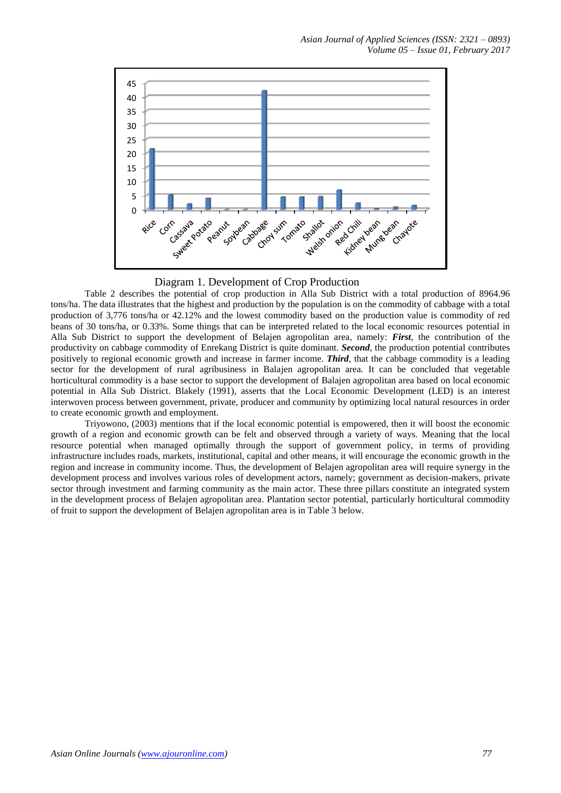



Table 2 describes the potential of crop production in Alla Sub District with a total production of 8964.96 tons/ha. The data illustrates that the highest and production by the population is on the commodity of cabbage with a total production of 3,776 tons/ha or 42.12% and the lowest commodity based on the production value is commodity of red beans of 30 tons/ha, or 0.33%. Some things that can be interpreted related to the local economic resources potential in Alla Sub District to support the development of Belajen agropolitan area, namely: *First*, the contribution of the productivity on cabbage commodity of Enrekang District is quite dominant. *Second*, the production potential contributes positively to regional economic growth and increase in farmer income. *Third*, that the cabbage commodity is a leading sector for the development of rural agribusiness in Balajen agropolitan area. It can be concluded that vegetable horticultural commodity is a base sector to support the development of Balajen agropolitan area based on local economic potential in Alla Sub District. Blakely (1991), asserts that the Local Economic Development (LED) is an interest interwoven process between government, private, producer and community by optimizing local natural resources in order to create economic growth and employment.

Triyowono, (2003) mentions that if the local economic potential is empowered, then it will boost the economic growth of a region and economic growth can be felt and observed through a variety of ways. Meaning that the local resource potential when managed optimally through the support of government policy, in terms of providing infrastructure includes roads, markets, institutional, capital and other means, it will encourage the economic growth in the region and increase in community income. Thus, the development of Belajen agropolitan area will require synergy in the development process and involves various roles of development actors, namely; government as decision-makers, private sector through investment and farming community as the main actor. These three pillars constitute an integrated system in the development process of Belajen agropolitan area. Plantation sector potential, particularly horticultural commodity of fruit to support the development of Belajen agropolitan area is in Table 3 below.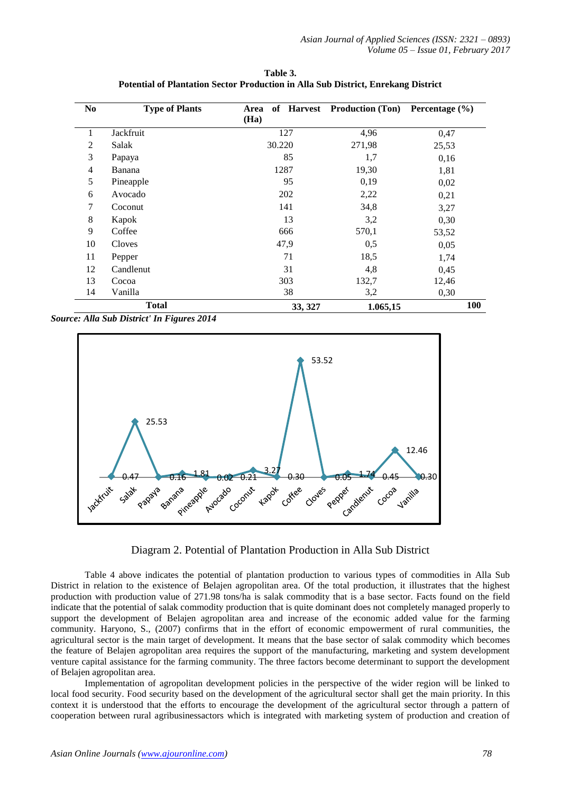| N <sub>0</sub> | <b>Type of Plants</b> | of Harvest<br>Area<br>(Ha) | <b>Production (Ton)</b> | Percentage $(\% )$ |
|----------------|-----------------------|----------------------------|-------------------------|--------------------|
| 1              | Jackfruit             | 127                        | 4,96                    | 0,47               |
| $\overline{2}$ | Salak                 | 30.220                     | 271,98                  | 25,53              |
| 3              | Papaya                | 85                         | 1,7                     | 0,16               |
| $\overline{4}$ | Banana                | 1287                       | 19,30                   | 1,81               |
| 5              | Pineapple             | 95                         | 0,19                    | 0,02               |
| 6              | Avocado               | 202                        | 2,22                    | 0,21               |
| 7              | Coconut               | 141                        | 34,8                    | 3,27               |
| 8              | Kapok                 | 13                         | 3,2                     | 0,30               |
| 9              | Coffee                | 666                        | 570,1                   | 53,52              |
| 10             | Cloves                | 47,9                       | 0,5                     | 0,05               |
| 11             | Pepper                | 71                         | 18,5                    | 1,74               |
| 12             | Candlenut             | 31                         | 4,8                     | 0,45               |
| 13             | Cocoa                 | 303                        | 132,7                   | 12,46              |
| 14             | Vanilla               | 38                         | 3,2                     | 0,30               |
|                | <b>Total</b>          | 33, 327                    | 1.065,15                | <b>100</b>         |

**Table 3. Potential of Plantation Sector Production in Alla Sub District, Enrekang District**

*Source: Alla Sub District' In Figures 2014*



Diagram 2. Potential of Plantation Production in Alla Sub District

Table 4 above indicates the potential of plantation production to various types of commodities in Alla Sub District in relation to the existence of Belajen agropolitan area. Of the total production, it illustrates that the highest production with production value of 271.98 tons/ha is salak commodity that is a base sector. Facts found on the field indicate that the potential of salak commodity production that is quite dominant does not completely managed properly to support the development of Belajen agropolitan area and increase of the economic added value for the farming community. Haryono, S., (2007) confirms that in the effort of economic empowerment of rural communities, the agricultural sector is the main target of development. It means that the base sector of salak commodity which becomes the feature of Belajen agropolitan area requires the support of the manufacturing, marketing and system development venture capital assistance for the farming community. The three factors become determinant to support the development of Belajen agropolitan area.

Implementation of agropolitan development policies in the perspective of the wider region will be linked to local food security. Food security based on the development of the agricultural sector shall get the main priority. In this context it is understood that the efforts to encourage the development of the agricultural sector through a pattern of cooperation between rural agribusinessactors which is integrated with marketing system of production and creation of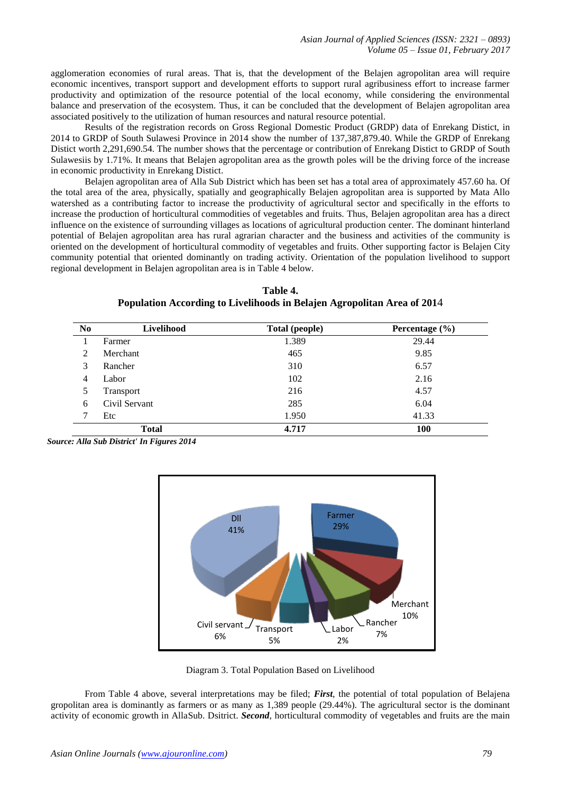agglomeration economies of rural areas. That is, that the development of the Belajen agropolitan area will require economic incentives, transport support and development efforts to support rural agribusiness effort to increase farmer productivity and optimization of the resource potential of the local economy, while considering the environmental balance and preservation of the ecosystem. Thus, it can be concluded that the development of Belajen agropolitan area associated positively to the utilization of human resources and natural resource potential.

Results of the registration records on Gross Regional Domestic Product (GRDP) data of Enrekang Distict, in 2014 to GRDP of South Sulawesi Province in 2014 show the number of 137,387,879.40. While the GRDP of Enrekang Distict worth 2,291,690.54. The number shows that the percentage or contribution of Enrekang Distict to GRDP of South Sulawesiis by 1.71%. It means that Belajen agropolitan area as the growth poles will be the driving force of the increase in economic productivity in Enrekang Distict.

Belajen agropolitan area of Alla Sub District which has been set has a total area of approximately 457.60 ha. Of the total area of the area, physically, spatially and geographically Belajen agropolitan area is supported by Mata Allo watershed as a contributing factor to increase the productivity of agricultural sector and specifically in the efforts to increase the production of horticultural commodities of vegetables and fruits. Thus, Belajen agropolitan area has a direct influence on the existence of surrounding villages as locations of agricultural production center. The dominant hinterland potential of Belajen agropolitan area has rural agrarian character and the business and activities of the community is oriented on the development of horticultural commodity of vegetables and fruits. Other supporting factor is Belajen City community potential that oriented dominantly on trading activity. Orientation of the population livelihood to support regional development in Belajen agropolitan area is in Table 4 below.

| таріс т.                                                                |
|-------------------------------------------------------------------------|
| Population According to Livelihoods in Belajen Agropolitan Area of 2014 |
|                                                                         |

**Table 4.**

| N <sub>0</sub> | Livelihood    | <b>Total (people)</b> | Percentage $(\% )$ |
|----------------|---------------|-----------------------|--------------------|
|                | Farmer        | 1.389                 | 29.44              |
| 2              | Merchant      | 465                   | 9.85               |
| 3              | Rancher       | 310                   | 6.57               |
| 4              | Labor         | 102                   | 2.16               |
|                | Transport     | 216                   | 4.57               |
| 6              | Civil Servant | 285                   | 6.04               |
|                | Etc           | 1.950                 | 41.33              |
|                | <b>Total</b>  | 4.717                 | 100                |

*Source: Alla Sub District' In Figures 2014*



Diagram 3. Total Population Based on Livelihood

From Table 4 above, several interpretations may be filed; *First*, the potential of total population of Belajena gropolitan area is dominantly as farmers or as many as 1,389 people (29.44%). The agricultural sector is the dominant activity of economic growth in AllaSub. Dsitrict. *Second*, horticultural commodity of vegetables and fruits are the main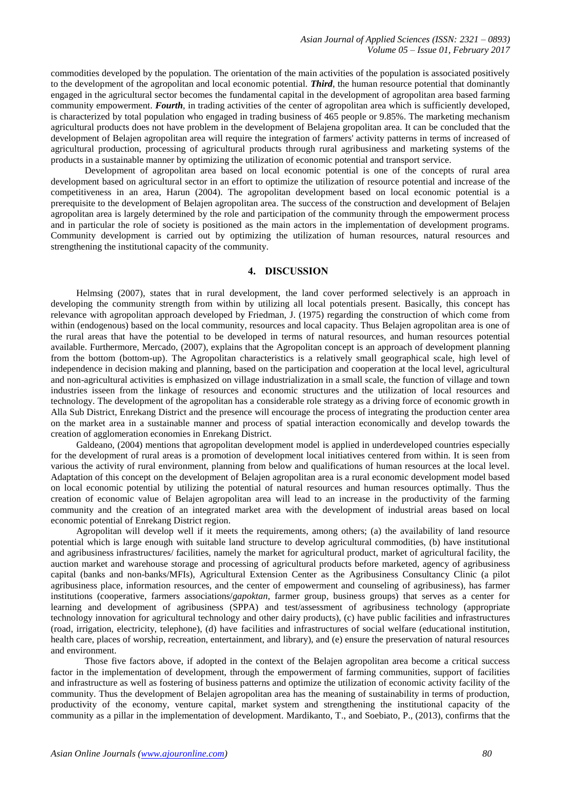commodities developed by the population. The orientation of the main activities of the population is associated positively to the development of the agropolitan and local economic potential. *Third*, the human resource potential that dominantly engaged in the agricultural sector becomes the fundamental capital in the development of agropolitan area based farming community empowerment. *Fourth*, in trading activities of the center of agropolitan area which is sufficiently developed, is characterized by total population who engaged in trading business of 465 people or 9.85%. The marketing mechanism agricultural products does not have problem in the development of Belajena gropolitan area. It can be concluded that the development of Belajen agropolitan area will require the integration of farmers' activity patterns in terms of increased of agricultural production, processing of agricultural products through rural agribusiness and marketing systems of the products in a sustainable manner by optimizing the utilization of economic potential and transport service.

Development of agropolitan area based on local economic potential is one of the concepts of rural area development based on agricultural sector in an effort to optimize the utilization of resource potential and increase of the competitiveness in an area, Harun (2004). The agropolitan development based on local economic potential is a prerequisite to the development of Belajen agropolitan area. The success of the construction and development of Belajen agropolitan area is largely determined by the role and participation of the community through the empowerment process and in particular the role of society is positioned as the main actors in the implementation of development programs. Community development is carried out by optimizing the utilization of human resources, natural resources and strengthening the institutional capacity of the community.

#### **4. DISCUSSION**

Helmsing (2007), states that in rural development, the land cover performed selectively is an approach in developing the community strength from within by utilizing all local potentials present. Basically, this concept has relevance with agropolitan approach developed by Friedman, J. (1975) regarding the construction of which come from within (endogenous) based on the local community, resources and local capacity. Thus Belajen agropolitan area is one of the rural areas that have the potential to be developed in terms of natural resources, and human resources potential available. Furthermore, Mercado, (2007), explains that the Agropolitan concept is an approach of development planning from the bottom (bottom-up). The Agropolitan characteristics is a relatively small geographical scale, high level of independence in decision making and planning, based on the participation and cooperation at the local level, agricultural and non-agricultural activities is emphasized on village industrialization in a small scale, the function of village and town industries isseen from the linkage of resources and economic structures and the utilization of local resources and technology. The development of the agropolitan has a considerable role strategy as a driving force of economic growth in Alla Sub District, Enrekang District and the presence will encourage the process of integrating the production center area on the market area in a sustainable manner and process of spatial interaction economically and develop towards the creation of agglomeration economies in Enrekang District.

Galdeano, (2004) mentions that agropolitan development model is applied in underdeveloped countries especially for the development of rural areas is a promotion of development local initiatives centered from within. It is seen from various the activity of rural environment, planning from below and qualifications of human resources at the local level. Adaptation of this concept on the development of Belajen agropolitan area is a rural economic development model based on local economic potential by utilizing the potential of natural resources and human resources optimally. Thus the creation of economic value of Belajen agropolitan area will lead to an increase in the productivity of the farming community and the creation of an integrated market area with the development of industrial areas based on local economic potential of Enrekang District region.

Agropolitan will develop well if it meets the requirements, among others; (a) the availability of land resource potential which is large enough with suitable land structure to develop agricultural commodities, (b) have institutional and agribusiness infrastructures/ facilities, namely the market for agricultural product, market of agricultural facility, the auction market and warehouse storage and processing of agricultural products before marketed, agency of agribusiness capital (banks and non-banks/MFIs), Agricultural Extension Center as the Agribusiness Consultancy Clinic (a pilot agribusiness place, information resources, and the center of empowerment and counseling of agribusiness), has farmer institutions (cooperative, farmers associations/*gapoktan*, farmer group, business groups) that serves as a center for learning and development of agribusiness (SPPA) and test/assessment of agribusiness technology (appropriate technology innovation for agricultural technology and other dairy products), (c) have public facilities and infrastructures (road, irrigation, electricity, telephone), (d) have facilities and infrastructures of social welfare (educational institution, health care, places of worship, recreation, entertainment, and library), and (e) ensure the preservation of natural resources and environment.

Those five factors above, if adopted in the context of the Belajen agropolitan area become a critical success factor in the implementation of development, through the empowerment of farming communities, support of facilities and infrastructure as well as fostering of business patterns and optimize the utilization of economic activity facility of the community. Thus the development of Belajen agropolitan area has the meaning of sustainability in terms of production, productivity of the economy, venture capital, market system and strengthening the institutional capacity of the community as a pillar in the implementation of development. Mardikanto, T., and Soebiato, P., (2013), confirms that the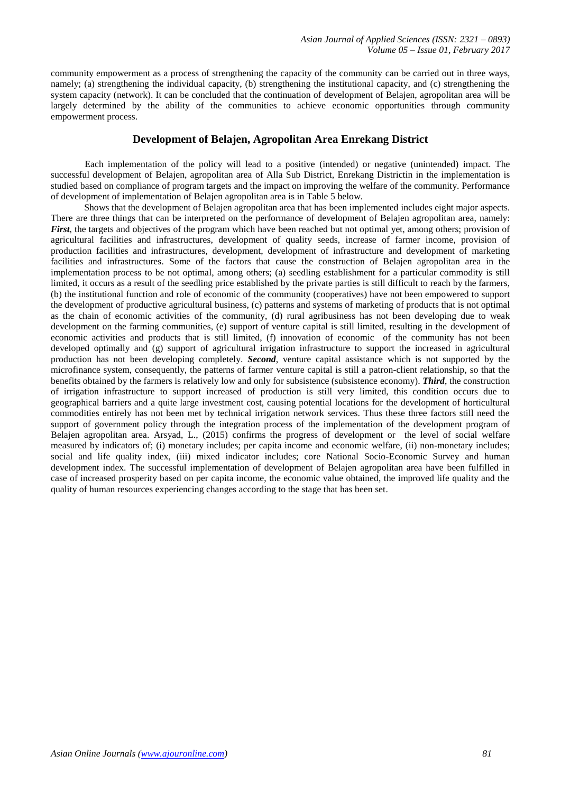community empowerment as a process of strengthening the capacity of the community can be carried out in three ways, namely; (a) strengthening the individual capacity, (b) strengthening the institutional capacity, and (c) strengthening the system capacity (network). It can be concluded that the continuation of development of Belajen, agropolitan area will be largely determined by the ability of the communities to achieve economic opportunities through community empowerment process.

# **Development of Belajen, Agropolitan Area Enrekang District**

Each implementation of the policy will lead to a positive (intended) or negative (unintended) impact. The successful development of Belajen, agropolitan area of Alla Sub District, Enrekang Districtin in the implementation is studied based on compliance of program targets and the impact on improving the welfare of the community. Performance of development of implementation of Belajen agropolitan area is in Table 5 below.

Shows that the development of Belajen agropolitan area that has been implemented includes eight major aspects. There are three things that can be interpreted on the performance of development of Belajen agropolitan area, namely: *First*, the targets and objectives of the program which have been reached but not optimal yet, among others; provision of agricultural facilities and infrastructures, development of quality seeds, increase of farmer income, provision of production facilities and infrastructures, development, development of infrastructure and development of marketing facilities and infrastructures. Some of the factors that cause the construction of Belajen agropolitan area in the implementation process to be not optimal, among others; (a) seedling establishment for a particular commodity is still limited, it occurs as a result of the seedling price established by the private parties is still difficult to reach by the farmers, (b) the institutional function and role of economic of the community (cooperatives) have not been empowered to support the development of productive agricultural business, (c) patterns and systems of marketing of products that is not optimal as the chain of economic activities of the community, (d) rural agribusiness has not been developing due to weak development on the farming communities, (e) support of venture capital is still limited, resulting in the development of economic activities and products that is still limited, (f) innovation of economic of the community has not been developed optimally and (g) support of agricultural irrigation infrastructure to support the increased in agricultural production has not been developing completely. *Second*, venture capital assistance which is not supported by the microfinance system, consequently, the patterns of farmer venture capital is still a patron-client relationship, so that the benefits obtained by the farmers is relatively low and only for subsistence (subsistence economy). *Third*, the construction of irrigation infrastructure to support increased of production is still very limited, this condition occurs due to geographical barriers and a quite large investment cost, causing potential locations for the development of horticultural commodities entirely has not been met by technical irrigation network services. Thus these three factors still need the support of government policy through the integration process of the implementation of the development program of Belajen agropolitan area. Arsyad, L., (2015) confirms the progress of development or the level of social welfare measured by indicators of; (i) monetary includes; per capita income and economic welfare, (ii) non-monetary includes; social and life quality index, (iii) mixed indicator includes; core National Socio-Economic Survey and human development index. The successful implementation of development of Belajen agropolitan area have been fulfilled in case of increased prosperity based on per capita income, the economic value obtained, the improved life quality and the quality of human resources experiencing changes according to the stage that has been set.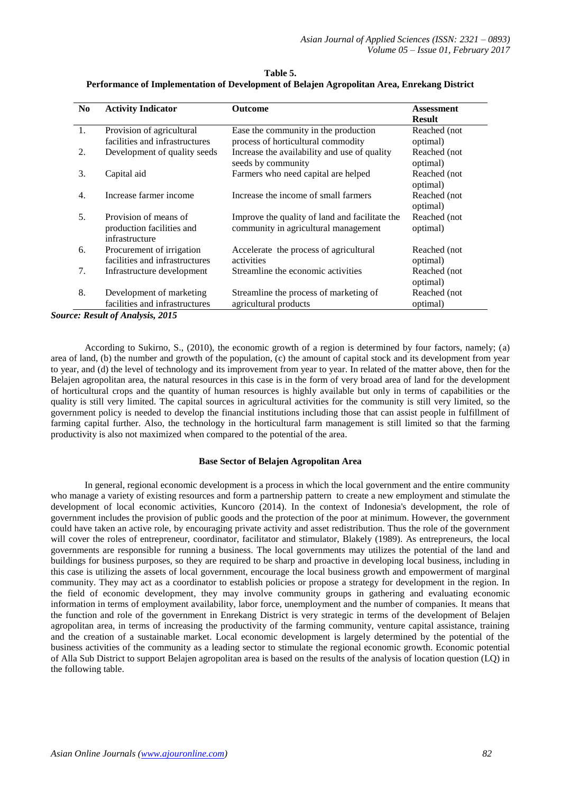| N <sub>0</sub> | <b>Activity Indicator</b>      | <b>Outcome</b>                                 | <b>Assessment</b> |
|----------------|--------------------------------|------------------------------------------------|-------------------|
|                |                                |                                                | <b>Result</b>     |
| 1.             | Provision of agricultural      | Ease the community in the production           | Reached (not)     |
|                | facilities and infrastructures | process of horticultural commodity             | optimal)          |
| 2.             | Development of quality seeds   | Increase the availability and use of quality   | Reached (not      |
|                |                                | seeds by community                             | optimal)          |
| 3.             | Capital aid                    | Farmers who need capital are helped            | Reached (not)     |
|                |                                |                                                | optimal)          |
| 4.             | Increase farmer income         | Increase the income of small farmers           | Reached (not      |
|                |                                |                                                | optimal)          |
| 5.             | Provision of means of          | Improve the quality of land and facilitate the | Reached (not      |
|                | production facilities and      | community in agricultural management           | optimal)          |
|                | infrastructure                 |                                                |                   |
| 6.             | Procurement of irrigation      | Accelerate the process of agricultural         | Reached (not      |
|                | facilities and infrastructures | activities                                     | optimal)          |
| 7.             | Infrastructure development     | Streamline the economic activities             | Reached (not      |
|                |                                |                                                | optimal)          |
| 8.             | Development of marketing       | Streamline the process of marketing of         | Reached (not      |
|                | facilities and infrastructures | agricultural products                          | optimal)          |

**Table 5. Performance of Implementation of Development of Belajen Agropolitan Area, Enrekang District**

*Source: Result of Analysis, 2015*

According to Sukirno, S., (2010), the economic growth of a region is determined by four factors, namely; (a) area of land, (b) the number and growth of the population, (c) the amount of capital stock and its development from year to year, and (d) the level of technology and its improvement from year to year. In related of the matter above, then for the Belajen agropolitan area, the natural resources in this case is in the form of very broad area of land for the development of horticultural crops and the quantity of human resources is highly available but only in terms of capabilities or the quality is still very limited. The capital sources in agricultural activities for the community is still very limited, so the government policy is needed to develop the financial institutions including those that can assist people in fulfillment of farming capital further. Also, the technology in the horticultural farm management is still limited so that the farming productivity is also not maximized when compared to the potential of the area.

#### **Base Sector of Belajen Agropolitan Area**

In general, regional economic development is a process in which the local government and the entire community who manage a variety of existing resources and form a partnership pattern to create a new employment and stimulate the development of local economic activities, Kuncoro (2014). In the context of Indonesia's development, the role of government includes the provision of public goods and the protection of the poor at minimum. However, the government could have taken an active role, by encouraging private activity and asset redistribution. Thus the role of the government will cover the roles of entrepreneur, coordinator, facilitator and stimulator, Blakely (1989). As entrepreneurs, the local governments are responsible for running a business. The local governments may utilizes the potential of the land and buildings for business purposes, so they are required to be sharp and proactive in developing local business, including in this case is utilizing the assets of local government, encourage the local business growth and empowerment of marginal community. They may act as a coordinator to establish policies or propose a strategy for development in the region. In the field of economic development, they may involve community groups in gathering and evaluating economic information in terms of employment availability, labor force, unemployment and the number of companies. It means that the function and role of the government in Enrekang District is very strategic in terms of the development of Belajen agropolitan area, in terms of increasing the productivity of the farming community, venture capital assistance, training and the creation of a sustainable market. Local economic development is largely determined by the potential of the business activities of the community as a leading sector to stimulate the regional economic growth. Economic potential of Alla Sub District to support Belajen agropolitan area is based on the results of the analysis of location question (LQ) in the following table.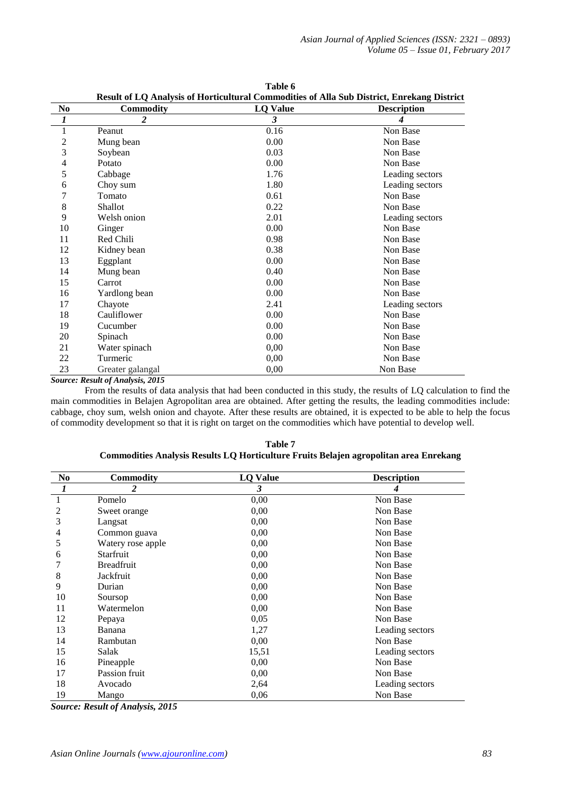|                | Result of LQ Analysis of Horticultural Commodities of Alla Sub District, Enrekang District |                 |                    |  |  |
|----------------|--------------------------------------------------------------------------------------------|-----------------|--------------------|--|--|
| N <sub>0</sub> | <b>Commodity</b>                                                                           | <b>LQ Value</b> | <b>Description</b> |  |  |
| 1              | 2                                                                                          | 3               | 4                  |  |  |
| 1              | Peanut                                                                                     | 0.16            | Non Base           |  |  |
| $\overline{c}$ | Mung bean                                                                                  | 0.00            | Non Base           |  |  |
| 3              | Soybean                                                                                    | 0.03            | Non Base           |  |  |
| 4              | Potato                                                                                     | 0.00            | Non Base           |  |  |
| 5              | Cabbage                                                                                    | 1.76            | Leading sectors    |  |  |
| 6              | Choy sum                                                                                   | 1.80            | Leading sectors    |  |  |
| 7              | Tomato                                                                                     | 0.61            | Non Base           |  |  |
| 8              | <b>Shallot</b>                                                                             | 0.22            | Non Base           |  |  |
| 9              | Welsh onion                                                                                | 2.01            | Leading sectors    |  |  |
| 10             | Ginger                                                                                     | 0.00            | Non Base           |  |  |
| 11             | Red Chili                                                                                  | 0.98            | Non Base           |  |  |
| 12             | Kidney bean                                                                                | 0.38            | Non Base           |  |  |
| 13             | Eggplant                                                                                   | 0.00            | Non Base           |  |  |
| 14             | Mung bean                                                                                  | 0.40            | Non Base           |  |  |
| 15             | Carrot                                                                                     | 0.00            | Non Base           |  |  |
| 16             | Yardlong bean                                                                              | 0.00            | Non Base           |  |  |
| 17             | Chayote                                                                                    | 2.41            | Leading sectors    |  |  |
| 18             | Cauliflower                                                                                | 0.00            | Non Base           |  |  |
| 19             | Cucumber                                                                                   | 0.00            | Non Base           |  |  |
| 20             | Spinach                                                                                    | 0.00            | Non Base           |  |  |
| 21             | Water spinach                                                                              | 0,00            | Non Base           |  |  |
| 22             | Turmeric                                                                                   | 0,00            | Non Base           |  |  |
| 23             | Greater galangal                                                                           | 0,00            | Non Base           |  |  |

**Table 6**

*Source: Result of Analysis, 2015*

From the results of data analysis that had been conducted in this study, the results of LQ calculation to find the main commodities in Belajen Agropolitan area are obtained. After getting the results, the leading commodities include: cabbage, choy sum, welsh onion and chayote. After these results are obtained, it is expected to be able to help the focus of commodity development so that it is right on target on the commodities which have potential to develop well.

| N <sub>0</sub> | <b>Commodity</b>  | <b>LQ Value</b> | <b>Description</b> |
|----------------|-------------------|-----------------|--------------------|
| 1              | 2                 | 3               |                    |
| 1              | Pomelo            | 0,00            | Non Base           |
| 2              | Sweet orange      | 0,00            | Non Base           |
| 3              | Langsat           | 0,00            | Non Base           |
| 4              | Common guava      | 0,00            | Non Base           |
| 5              | Watery rose apple | 0,00            | Non Base           |
| 6              | Starfruit         | 0,00            | Non Base           |
|                | <b>Breadfruit</b> | 0,00            | Non Base           |
| 8              | Jackfruit         | 0,00            | Non Base           |
| 9              | Durian            | 0,00            | Non Base           |
| 10             | Soursop           | 0,00            | Non Base           |
| 11             | Watermelon        | 0,00            | Non Base           |
| 12             | Pepaya            | 0,05            | Non Base           |
| 13             | Banana            | 1,27            | Leading sectors    |
| 14             | Rambutan          | 0,00            | Non Base           |
| 15             | Salak             | 15,51           | Leading sectors    |
| 16             | Pineapple         | 0,00            | Non Base           |
| 17             | Passion fruit     | 0.00            | Non Base           |
| 18             | Avocado           | 2,64            | Leading sectors    |
| 19             | Mango             | 0,06            | Non Base           |

**Table 7 Commodities Analysis Results LQ Horticulture Fruits Belajen agropolitan area Enrekang**

*Source: Result of Analysis, 2015*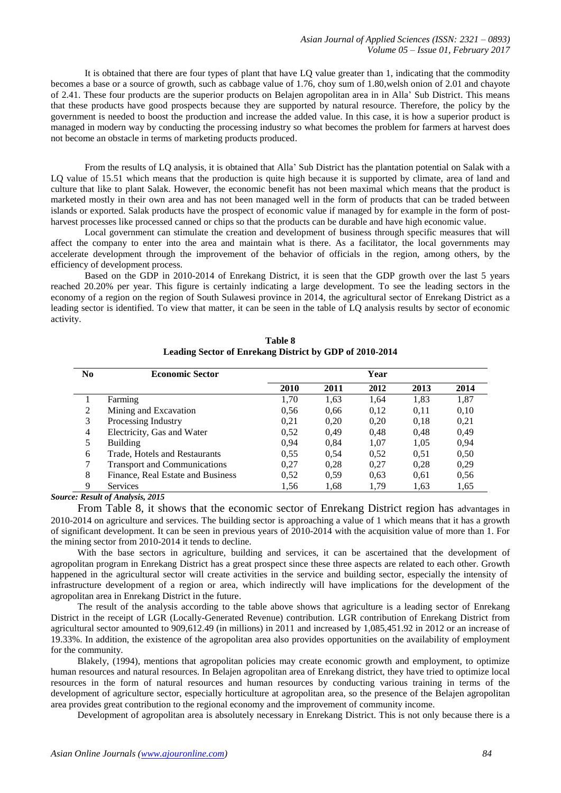It is obtained that there are four types of plant that have LQ value greater than 1, indicating that the commodity becomes a base or a source of growth, such as cabbage value of 1.76, choy sum of 1.80,welsh onion of 2.01 and chayote of 2.41. These four products are the superior products on Belajen agropolitan area in in Alla' Sub District. This means that these products have good prospects because they are supported by natural resource. Therefore, the policy by the government is needed to boost the production and increase the added value. In this case, it is how a superior product is managed in modern way by conducting the processing industry so what becomes the problem for farmers at harvest does not become an obstacle in terms of marketing products produced.

From the results of LQ analysis, it is obtained that Alla' Sub District has the plantation potential on Salak with a LQ value of 15.51 which means that the production is quite high because it is supported by climate, area of land and culture that like to plant Salak. However, the economic benefit has not been maximal which means that the product is marketed mostly in their own area and has not been managed well in the form of products that can be traded between islands or exported. Salak products have the prospect of economic value if managed by for example in the form of postharvest processes like processed canned or chips so that the products can be durable and have high economic value.

Local government can stimulate the creation and development of business through specific measures that will affect the company to enter into the area and maintain what is there. As a facilitator, the local governments may accelerate development through the improvement of the behavior of officials in the region, among others, by the efficiency of development process.

Based on the GDP in 2010-2014 of Enrekang District, it is seen that the GDP growth over the last 5 years reached 20.20% per year. This figure is certainly indicating a large development. To see the leading sectors in the economy of a region on the region of South Sulawesi province in 2014, the agricultural sector of Enrekang District as a leading sector is identified. To view that matter, it can be seen in the table of LQ analysis results by sector of economic activity.

| No | <b>Economic Sector</b>              |      |      | Year |      |      |
|----|-------------------------------------|------|------|------|------|------|
|    |                                     | 2010 | 2011 | 2012 | 2013 | 2014 |
|    | Farming                             | 1.70 | 1,63 | 1,64 | 1,83 | 1,87 |
| 2  | Mining and Excavation               | 0.56 | 0.66 | 0,12 | 0.11 | 0,10 |
| 3  | Processing Industry                 | 0,21 | 0.20 | 0,20 | 0.18 | 0,21 |
| 4  | Electricity, Gas and Water          | 0.52 | 0.49 | 0,48 | 0.48 | 0.49 |
| 5  | Building                            | 0.94 | 0.84 | 1.07 | 1.05 | 0.94 |
| 6  | Trade, Hotels and Restaurants       | 0.55 | 0.54 | 0.52 | 0.51 | 0.50 |
|    | <b>Transport and Communications</b> | 0.27 | 0,28 | 0,27 | 0.28 | 0,29 |
| 8  | Finance, Real Estate and Business   | 0,52 | 0.59 | 0.63 | 0.61 | 0.56 |
| 9  | <b>Services</b>                     | 1.56 | 1,68 | 1.79 | 1.63 | 1,65 |

**Table 8 Leading Sector of Enrekang District by GDP of 2010-2014**

*Source: Result of Analysis, 2015*

From Table 8, it shows that the economic sector of Enrekang District region has advantages in 2010-2014 on agriculture and services. The building sector is approaching a value of 1 which means that it has a growth of significant development. It can be seen in previous years of 2010-2014 with the acquisition value of more than 1. For the mining sector from 2010-2014 it tends to decline.

With the base sectors in agriculture, building and services, it can be ascertained that the development of agropolitan program in Enrekang District has a great prospect since these three aspects are related to each other. Growth happened in the agricultural sector will create activities in the service and building sector, especially the intensity of infrastructure development of a region or area, which indirectly will have implications for the development of the agropolitan area in Enrekang District in the future.

The result of the analysis according to the table above shows that agriculture is a leading sector of Enrekang District in the receipt of LGR (Locally-Generated Revenue) contribution. LGR contribution of Enrekang District from agricultural sector amounted to 909,612.49 (in millions) in 2011 and increased by 1,085,451.92 in 2012 or an increase of 19.33%. In addition, the existence of the agropolitan area also provides opportunities on the availability of employment for the community.

Blakely, (1994), mentions that agropolitan policies may create economic growth and employment, to optimize human resources and natural resources. In Belajen agropolitan area of Enrekang district, they have tried to optimize local resources in the form of natural resources and human resources by conducting various training in terms of the development of agriculture sector, especially horticulture at agropolitan area, so the presence of the Belajen agropolitan area provides great contribution to the regional economy and the improvement of community income.

Development of agropolitan area is absolutely necessary in Enrekang District. This is not only because there is a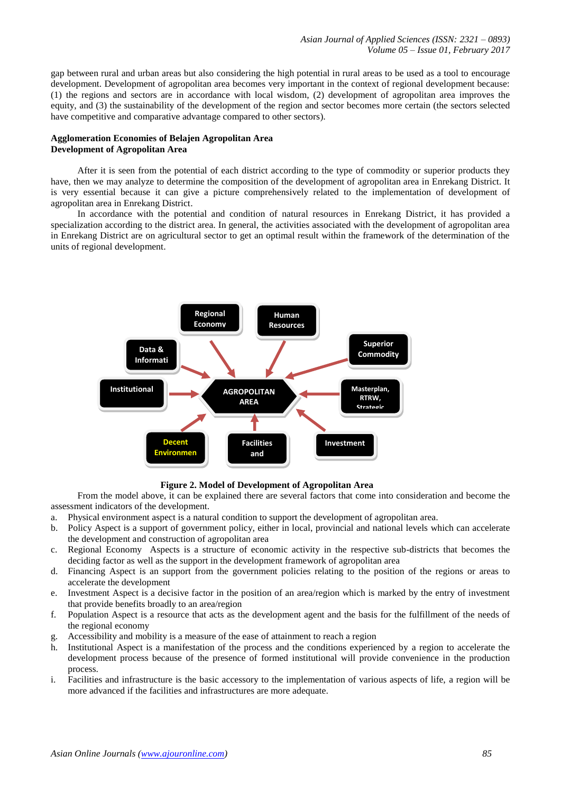gap between rural and urban areas but also considering the high potential in rural areas to be used as a tool to encourage development. Development of agropolitan area becomes very important in the context of regional development because: (1) the regions and sectors are in accordance with local wisdom, (2) development of agropolitan area improves the equity, and (3) the sustainability of the development of the region and sector becomes more certain (the sectors selected have competitive and comparative advantage compared to other sectors).

## **Agglomeration Economies of Belajen Agropolitan Area Development of Agropolitan Area**

After it is seen from the potential of each district according to the type of commodity or superior products they have, then we may analyze to determine the composition of the development of agropolitan area in Enrekang District. It is very essential because it can give a picture comprehensively related to the implementation of development of agropolitan area in Enrekang District.

In accordance with the potential and condition of natural resources in Enrekang District, it has provided a specialization according to the district area. In general, the activities associated with the development of agropolitan area in Enrekang District are on agricultural sector to get an optimal result within the framework of the determination of the units of regional development.



**Figure 2. Model of Development of Agropolitan Area**

From the model above, it can be explained there are several factors that come into consideration and become the assessment indicators of the development.

- a. Physical environment aspect is a natural condition to support the development of agropolitan area.
- b. Policy Aspect is a support of government policy, either in local, provincial and national levels which can accelerate the development and construction of agropolitan area
- c. Regional Economy Aspects is a structure of economic activity in the respective sub-districts that becomes the deciding factor as well as the support in the development framework of agropolitan area
- d. Financing Aspect is an support from the government policies relating to the position of the regions or areas to accelerate the development
- e. Investment Aspect is a decisive factor in the position of an area/region which is marked by the entry of investment that provide benefits broadly to an area/region
- f. Population Aspect is a resource that acts as the development agent and the basis for the fulfillment of the needs of the regional economy
- g. Accessibility and mobility is a measure of the ease of attainment to reach a region
- h. Institutional Aspect is a manifestation of the process and the conditions experienced by a region to accelerate the development process because of the presence of formed institutional will provide convenience in the production process.
- i. Facilities and infrastructure is the basic accessory to the implementation of various aspects of life, a region will be more advanced if the facilities and infrastructures are more adequate.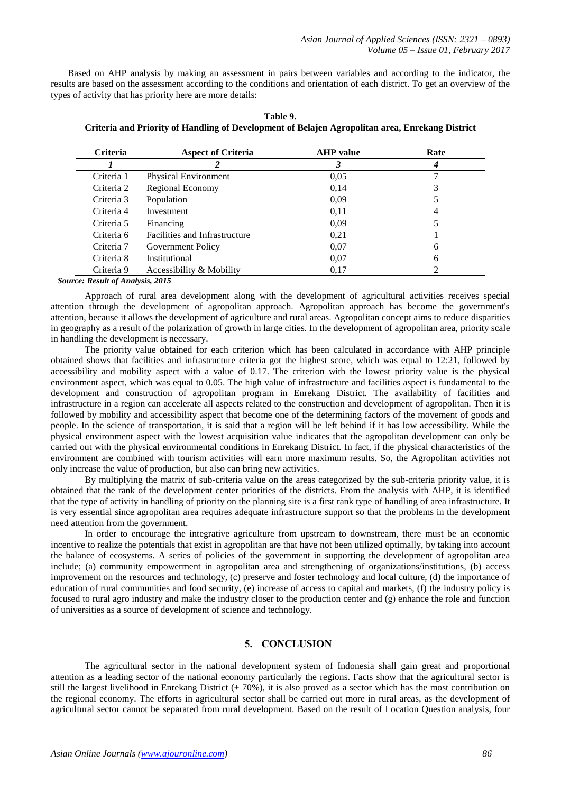Based on AHP analysis by making an assessment in pairs between variables and according to the indicator, the results are based on the assessment according to the conditions and orientation of each district. To get an overview of the types of activity that has priority here are more details:

| Criteria   | <b>Aspect of Criteria</b>     | <b>AHP</b> value | Rate |  |
|------------|-------------------------------|------------------|------|--|
|            |                               | 3                |      |  |
| Criteria 1 | <b>Physical Environment</b>   | 0,05             |      |  |
| Criteria 2 | Regional Economy              | 0,14             |      |  |
| Criteria 3 | Population                    | 0.09             |      |  |
| Criteria 4 | Investment                    | 0,11             | 4    |  |
| Criteria 5 | Financing                     | 0.09             |      |  |
| Criteria 6 | Facilities and Infrastructure | 0,21             |      |  |
| Criteria 7 | Government Policy             | 0.07             | 6    |  |
| Criteria 8 | Institutional                 | 0.07             | 6    |  |
| Criteria 9 | Accessibility & Mobility      | 0,17             |      |  |

**Table 9. Criteria and Priority of Handling of Development of Belajen Agropolitan area, Enrekang District**

*Source: Result of Analysis, 2015*

Approach of rural area development along with the development of agricultural activities receives special attention through the development of agropolitan approach. Agropolitan approach has become the government's attention, because it allows the development of agriculture and rural areas. Agropolitan concept aims to reduce disparities in geography as a result of the polarization of growth in large cities. In the development of agropolitan area, priority scale in handling the development is necessary.

The priority value obtained for each criterion which has been calculated in accordance with AHP principle obtained shows that facilities and infrastructure criteria got the highest score, which was equal to 12:21, followed by accessibility and mobility aspect with a value of 0.17. The criterion with the lowest priority value is the physical environment aspect, which was equal to 0.05. The high value of infrastructure and facilities aspect is fundamental to the development and construction of agropolitan program in Enrekang District. The availability of facilities and infrastructure in a region can accelerate all aspects related to the construction and development of agropolitan. Then it is followed by mobility and accessibility aspect that become one of the determining factors of the movement of goods and people. In the science of transportation, it is said that a region will be left behind if it has low accessibility. While the physical environment aspect with the lowest acquisition value indicates that the agropolitan development can only be carried out with the physical environmental conditions in Enrekang District. In fact, if the physical characteristics of the environment are combined with tourism activities will earn more maximum results. So, the Agropolitan activities not only increase the value of production, but also can bring new activities.

By multiplying the matrix of sub-criteria value on the areas categorized by the sub-criteria priority value, it is obtained that the rank of the development center priorities of the districts. From the analysis with AHP, it is identified that the type of activity in handling of priority on the planning site is a first rank type of handling of area infrastructure. It is very essential since agropolitan area requires adequate infrastructure support so that the problems in the development need attention from the government.

In order to encourage the integrative agriculture from upstream to downstream, there must be an economic incentive to realize the potentials that exist in agropolitan are that have not been utilized optimally, by taking into account the balance of ecosystems. A series of policies of the government in supporting the development of agropolitan area include; (a) community empowerment in agropolitan area and strengthening of organizations/institutions, (b) access improvement on the resources and technology, (c) preserve and foster technology and local culture, (d) the importance of education of rural communities and food security, (e) increase of access to capital and markets, (f) the industry policy is focused to rural agro industry and make the industry closer to the production center and (g) enhance the role and function of universities as a source of development of science and technology.

# **5. CONCLUSION**

The agricultural sector in the national development system of Indonesia shall gain great and proportional attention as a leading sector of the national economy particularly the regions. Facts show that the agricultural sector is still the largest livelihood in Enrekang District  $(\pm 70\%)$ , it is also proved as a sector which has the most contribution on the regional economy. The efforts in agricultural sector shall be carried out more in rural areas, as the development of agricultural sector cannot be separated from rural development. Based on the result of Location Question analysis, four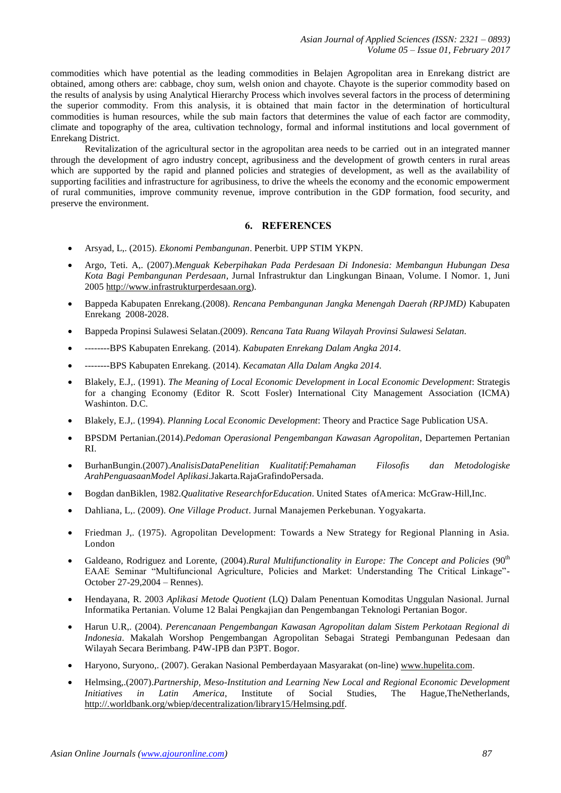commodities which have potential as the leading commodities in Belajen Agropolitan area in Enrekang district are obtained, among others are: cabbage, choy sum, welsh onion and chayote. Chayote is the superior commodity based on the results of analysis by using Analytical Hierarchy Process which involves several factors in the process of determining the superior commodity. From this analysis, it is obtained that main factor in the determination of horticultural commodities is human resources, while the sub main factors that determines the value of each factor are commodity, climate and topography of the area, cultivation technology, formal and informal institutions and local government of Enrekang District.

Revitalization of the agricultural sector in the agropolitan area needs to be carried out in an integrated manner through the development of agro industry concept, agribusiness and the development of growth centers in rural areas which are supported by the rapid and planned policies and strategies of development, as well as the availability of supporting facilities and infrastructure for agribusiness, to drive the wheels the economy and the economic empowerment of rural communities, improve community revenue, improve contribution in the GDP formation, food security, and preserve the environment.

# **6. REFERENCES**

- Arsyad, L,. (2015). *Ekonomi Pembangunan*. Penerbit. UPP STIM YKPN.
- Argo, Teti. A,. (2007).*Menguak Keberpihakan Pada Perdesaan Di Indonesia: Membangun Hubungan Desa Kota Bagi Pembangunan Perdesaan*, Jurnal Infrastruktur dan Lingkungan Binaan, Volume. I Nomor. 1, Juni 200[5 http://www.infrastrukturperdesaan.org\)](http://www.infrastrukturperdesaan.org/).
- Bappeda Kabupaten Enrekang.(2008). *Rencana Pembangunan Jangka Menengah Daerah (RPJMD)* Kabupaten Enrekang 2008-2028.
- Bappeda Propinsi Sulawesi Selatan.(2009). *Rencana Tata Ruang Wilayah Provinsi Sulawesi Selatan.*
- --------BPS Kabupaten Enrekang. (2014). *Kabupaten Enrekang Dalam Angka 2014.*
- --------BPS Kabupaten Enrekang. (2014). *Kecamatan Alla Dalam Angka 2014.*
- Blakely, E.J,. (1991). *The Meaning of Local Economic Development in Local Economic Development*: Strategis for a changing Economy (Editor R. Scott Fosler) International City Management Association (ICMA) Washinton. D.C.
- Blakely, E.J,. (1994). *Planning Local Economic Development*: Theory and Practice Sage Publication USA.
- BPSDM Pertanian.(2014).*Pedoman Operasional Pengembangan Kawasan Agropolitan*, Departemen Pertanian RI.
- BurhanBungin.(2007).*AnalisisDataPenelitian Kualitatif:Pemahaman Filosofis dan Metodologiske ArahPenguasaanModel Aplikasi*.Jakarta.RajaGrafindoPersada.
- Bogdan danBiklen, 1982.*Qualitative ResearchforEducation*. United States ofAmerica: McGraw-Hill,Inc.
- Dahliana, L,. (2009). *One Village Product*. Jurnal Manajemen Perkebunan. Yogyakarta.
- Friedman J,. (1975). Agropolitan Development: Towards a New Strategy for Regional Planning in Asia. London
- Galdeano, Rodriguez and Lorente, (2004).*Rural Multifunctionality in Europe: The Concept and Policies* (90<sup>th</sup> EAAE Seminar "Multifuncional Agriculture, Policies and Market: Understanding The Critical Linkage"- October 27-29,2004 – Rennes).
- Hendayana, R. 2003 *Aplikasi Metode Quotient* (LQ) Dalam Penentuan Komoditas Unggulan Nasional. Jurnal Informatika Pertanian. Volume 12 Balai Pengkajian dan Pengembangan Teknologi Pertanian Bogor.
- Harun U.R,. (2004). *Perencanaan Pengembangan Kawasan Agropolitan dalam Sistem Perkotaan Regional di Indonesia*. Makalah Worshop Pengembangan Agropolitan Sebagai Strategi Pembangunan Pedesaan dan Wilayah Secara Berimbang. P4W-IPB dan P3PT. Bogor.
- Haryono, Suryono,. (2007). Gerakan Nasional Pemberdayaan Masyarakat (on-line) [www.hupelita.com.](http://www.hupelita.com/)
- Helmsing,.(2007).*Partnership, Meso-Institution and Learning New Local and Regional Economic Development Initiatives in Latin America*, Institute of Social Studies, The Hague, TheNetherlands, [http://.worldbank.org/wbiep/decentralization/library15/Helmsing.pdf.](http://.worldbank.org/wbiep/%20decentralization/library15/Helmsing.pdf)